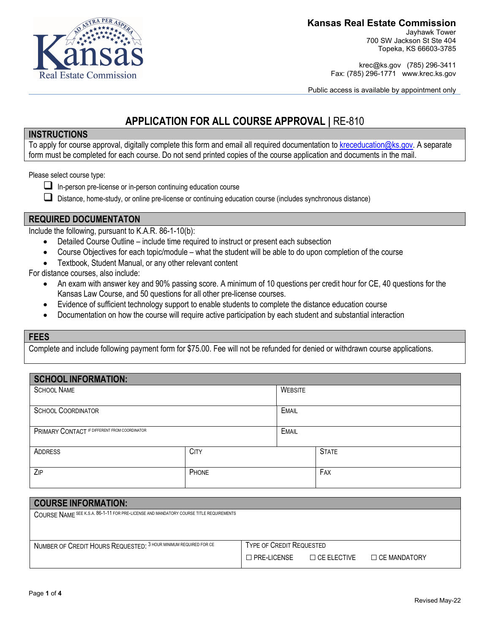

Jayhawk Tower 700 SW Jackson St Ste 404 Topeka, KS 66603-3785

krec@ks.gov (785) 296-3411 Fax: (785) 296-1771 www.krec.ks.gov

Public access is available by appointment only

# **APPLICATION FOR ALL COURSE APPROVAL |** RE-810

#### **INSTRUCTIONS**

To apply for course approval, digitally complete this form and email all required documentation t[o kreceducation@ks.gov.](mailto:kreceducation@ks.gov) A separate form must be completed for each course. Do not send printed copies of the course application and documents in the mail.

Please select course type:

- $\Box$  In-person pre-license or in-person continuing education course
- Distance, home-study, or online pre-license or continuing education course (includes synchronous distance)

### **REQUIRED DOCUMENTATON**

Include the following, pursuant to K.A.R. 86-1-10(b):

- Detailed Course Outline include time required to instruct or present each subsection
- Course Objectives for each topic/module what the student will be able to do upon completion of the course
- Textbook, Student Manual, or any other relevant content

For distance courses, also include:

- An exam with answer key and 90% passing score. A minimum of 10 questions per credit hour for CE, 40 questions for the Kansas Law Course, and 50 questions for all other pre-license courses.
- Evidence of sufficient technology support to enable students to complete the distance education course
- Documentation on how the course will require active participation by each student and substantial interaction

#### **FEES**

Complete and include following payment form for \$75.00. Fee will not be refunded for denied or withdrawn course applications.

| <b>SCHOOL INFORMATION:</b>                    |             |                |              |
|-----------------------------------------------|-------------|----------------|--------------|
| <b>SCHOOL NAME</b>                            |             | <b>WEBSITE</b> |              |
| <b>SCHOOL COORDINATOR</b>                     |             | <b>EMAIL</b>   |              |
| PRIMARY CONTACT IF DIFFERENT FROM COORDINATOR |             | <b>EMAIL</b>   |              |
| ADDRESS                                       | <b>CITY</b> |                | <b>STATE</b> |
| ZIP                                           | PHONE       |                | FAX          |

| <b>COURSE INFORMATION:</b>                                                             |                                 |                     |                     |
|----------------------------------------------------------------------------------------|---------------------------------|---------------------|---------------------|
| COURSE NAME SEE K.S.A. 86-1-11 FOR PRE-LICENSE AND MANDATORY COURSE TITLE REQUIREMENTS |                                 |                     |                     |
|                                                                                        |                                 |                     |                     |
|                                                                                        |                                 |                     |                     |
| NUMBER OF CREDIT HOURS REQUESTED: 3 HOUR MINIMUM REQUIRED FOR CE                       | <b>TYPE OF CREDIT REQUESTED</b> |                     |                     |
|                                                                                        | $\Box$ PRF-I ICFNSF             | $\Box$ CF FI FCTIVE | $\Box$ CE MANDATORY |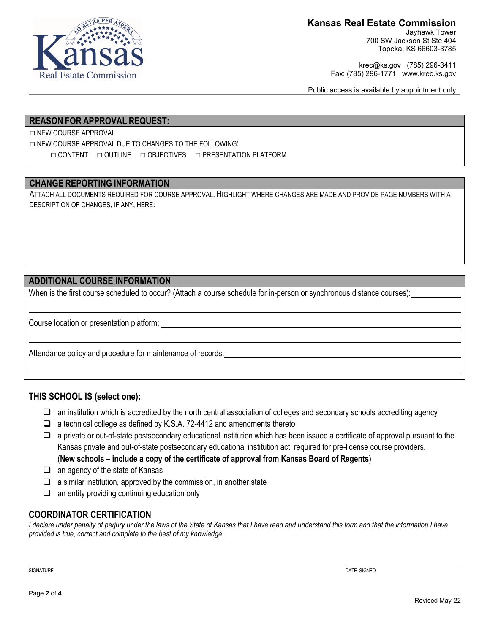

Jayhawk Tower 700 SW Jackson St Ste 404 Topeka, KS 66603-3785

krec@ks.gov (785) 296-3411 Fax: (785) 296-1771 www.krec.ks.gov

Public access is available by appointment only

## **REASON FOR APPROVAL REQUEST:**

□ NEW COURSE APPROVAL

□ NEW COURSE APPROVAL DUE TO CHANGES TO THE FOLLOWING: □ CONTENT □ OUTLINE □ OBJECTIVES □ PRESENTATION PLATFORM

#### **CHANGE REPORTING INFORMATION**

ATTACH ALL DOCUMENTS REQUIRED FOR COURSE APPROVAL. HIGHLIGHT WHERE CHANGES ARE MADE AND PROVIDE PAGE NUMBERS WITH A DESCRIPTION OF CHANGES, IF ANY, HERE:

## **ADDITIONAL COURSE INFORMATION**

When is the first course scheduled to occur? (Attach a course schedule for in-person or synchronous distance courses):

Course location or presentation platform:

Attendance policy and procedure for maintenance of records:

l

l

l

### **THIS SCHOOL IS (select one):**

- $\Box$  an institution which is accredited by the north central association of colleges and secondary schools accrediting agency
- $\Box$  a technical college as defined by K.S.A. 72-4412 and amendments thereto
- $\Box$  a private or out-of-state postsecondary educational institution which has been issued a certificate of approval pursuant to the Kansas private and out-of-state postsecondary educational institution act; required for pre-license course providers. (**New schools – include a copy of the certificate of approval from Kansas Board of Regents**)
- $\Box$  an agency of the state of Kansas
- $\Box$  a similar institution, approved by the commission, in another state
- $\Box$  an entity providing continuing education only

### **COORDINATOR CERTIFICATION**

*I declare under penalty of perjury under the laws of the State of Kansas that I have read and understand this form and that the information I have provided is true, correct and complete to the best of my knowledge.*

l

SIGNATURE DATE SIGNED AND SERVER SIGNED AND SERVER SIGNED AND SIGNED AND SIGNED AND SIGNED AND SIGNED AND SIGNED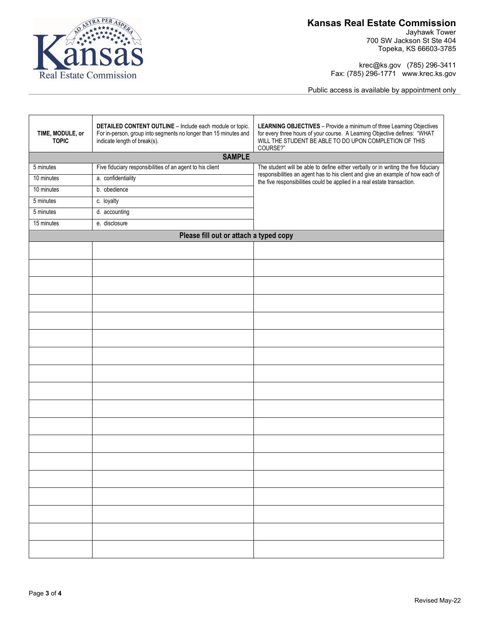

Jayhawk Tower 700 SW Jackson St Ste 404 Topeka, KS 66603-3785

krec@ks.gov (785) 296-3411 Fax: (785) 296-1771 www.krec.ks.gov

Public access is available by appointment only

| TIME, MODULE, or<br><b>TOPIC</b> | DETAILED CONTENT OUTLINE - Include each module or topic.<br>For in-person, group into segments no longer than 15 minutes and<br>indicate length of break(s). | LEARNING OBJECTIVES - Provide a minimum of three Learning Objectives<br>for every three hours of your course. A Learning Objective defines: "WHAT WILL THE STUDENT BE ABLE TO DO UPON COMPLETION OF THIS<br>COURSE?" |  |  |
|----------------------------------|--------------------------------------------------------------------------------------------------------------------------------------------------------------|----------------------------------------------------------------------------------------------------------------------------------------------------------------------------------------------------------------------|--|--|
|                                  | <b>SAMPLE</b>                                                                                                                                                |                                                                                                                                                                                                                      |  |  |
| 5 minutes                        | Five fiduciary responsibilities of an agent to his client                                                                                                    | The student will be able to define either verbally or in writing the five fiduciary<br>responsibilities an agent has to his client and give an example of how each of                                                |  |  |
| 10 minutes                       | a. confidentiality                                                                                                                                           | the five responsibilities could be applied in a real estate transaction.                                                                                                                                             |  |  |
| 10 minutes                       | b. obedience                                                                                                                                                 |                                                                                                                                                                                                                      |  |  |
| 5 minutes                        | c. loyalty                                                                                                                                                   |                                                                                                                                                                                                                      |  |  |
| 5 minutes                        | d. accounting                                                                                                                                                |                                                                                                                                                                                                                      |  |  |
| 15 minutes                       | e. disclosure                                                                                                                                                |                                                                                                                                                                                                                      |  |  |
|                                  | Please fill out or attach a typed copy                                                                                                                       |                                                                                                                                                                                                                      |  |  |
|                                  |                                                                                                                                                              |                                                                                                                                                                                                                      |  |  |
|                                  |                                                                                                                                                              |                                                                                                                                                                                                                      |  |  |
|                                  |                                                                                                                                                              |                                                                                                                                                                                                                      |  |  |
|                                  |                                                                                                                                                              |                                                                                                                                                                                                                      |  |  |
|                                  |                                                                                                                                                              |                                                                                                                                                                                                                      |  |  |
|                                  |                                                                                                                                                              |                                                                                                                                                                                                                      |  |  |
|                                  |                                                                                                                                                              |                                                                                                                                                                                                                      |  |  |
|                                  |                                                                                                                                                              |                                                                                                                                                                                                                      |  |  |
|                                  |                                                                                                                                                              |                                                                                                                                                                                                                      |  |  |
|                                  |                                                                                                                                                              |                                                                                                                                                                                                                      |  |  |
|                                  |                                                                                                                                                              |                                                                                                                                                                                                                      |  |  |
|                                  |                                                                                                                                                              |                                                                                                                                                                                                                      |  |  |
|                                  |                                                                                                                                                              |                                                                                                                                                                                                                      |  |  |
|                                  |                                                                                                                                                              |                                                                                                                                                                                                                      |  |  |
|                                  |                                                                                                                                                              |                                                                                                                                                                                                                      |  |  |
|                                  |                                                                                                                                                              |                                                                                                                                                                                                                      |  |  |
|                                  |                                                                                                                                                              |                                                                                                                                                                                                                      |  |  |
|                                  |                                                                                                                                                              |                                                                                                                                                                                                                      |  |  |